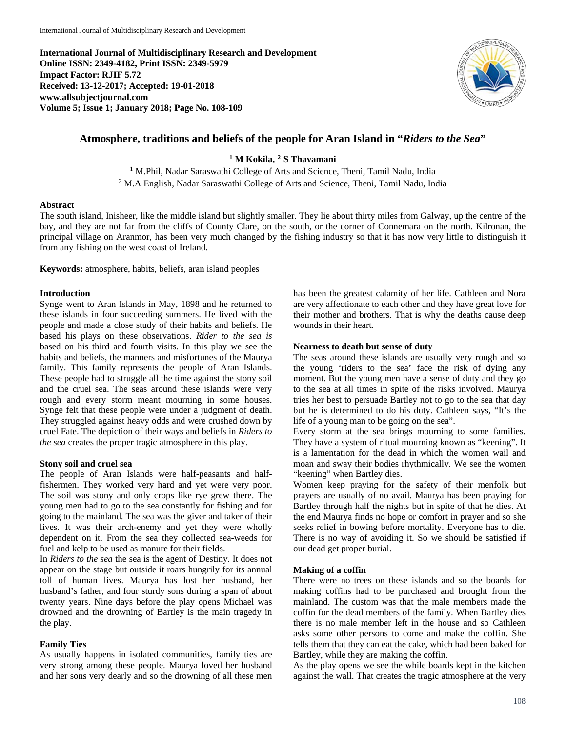**International Journal of Multidisciplinary Research and Development Online ISSN: 2349-4182, Print ISSN: 2349-5979 Impact Factor: RJIF 5.72 Received: 13-12-2017; Accepted: 19-01-2018 www.allsubjectjournal.com Volume 5; Issue 1; January 2018; Page No. 108-109**



# **Atmosphere, traditions and beliefs of the people for Aran Island in "***Riders to the Sea***"**

**<sup>1</sup> M Kokila, <sup>2</sup> S Thavamani**

<sup>1</sup> M.Phil, Nadar Saraswathi College of Arts and Science, Theni, Tamil Nadu, India <sup>2</sup> M.A English, Nadar Saraswathi College of Arts and Science, Theni, Tamil Nadu, India

### **Abstract**

The south island, Inisheer, like the middle island but slightly smaller. They lie about thirty miles from Galway, up the centre of the bay, and they are not far from the cliffs of County Clare, on the south, or the corner of Connemara on the north. Kilronan, the principal village on Aranmor, has been very much changed by the fishing industry so that it has now very little to distinguish it from any fishing on the west coast of Ireland.

**Keywords:** atmosphere, habits, beliefs, aran island peoples

### **Introduction**

Synge went to Aran Islands in May, 1898 and he returned to these islands in four succeeding summers. He lived with the people and made a close study of their habits and beliefs. He based his plays on these observations. *Rider to the sea is* based on his third and fourth visits. In this play we see the habits and beliefs, the manners and misfortunes of the Maurya family. This family represents the people of Aran Islands. These people had to struggle all the time against the stony soil and the cruel sea. The seas around these islands were very rough and every storm meant mourning in some houses. Synge felt that these people were under a judgment of death. They struggled against heavy odds and were crushed down by cruel Fate. The depiction of their ways and beliefs in *Riders to the sea* creates the proper tragic atmosphere in this play.

### **Stony soil and cruel sea**

The people of Aran Islands were half-peasants and halffishermen. They worked very hard and yet were very poor. The soil was stony and only crops like rye grew there. The young men had to go to the sea constantly for fishing and for going to the mainland. The sea was the giver and taker of their lives. It was their arch-enemy and yet they were wholly dependent on it. From the sea they collected sea-weeds for fuel and kelp to be used as manure for their fields.

In *Riders to the sea* the sea is the agent of Destiny. It does not appear on the stage but outside it roars hungrily for its annual toll of human lives. Maurya has lost her husband, her husband's father, and four sturdy sons during a span of about twenty years. Nine days before the play opens Michael was drowned and the drowning of Bartley is the main tragedy in the play.

### **Family Ties**

As usually happens in isolated communities, family ties are very strong among these people. Maurya loved her husband and her sons very dearly and so the drowning of all these men has been the greatest calamity of her life. Cathleen and Nora are very affectionate to each other and they have great love for their mother and brothers. That is why the deaths cause deep wounds in their heart.

### **Nearness to death but sense of duty**

The seas around these islands are usually very rough and so the young 'riders to the sea' face the risk of dying any moment. But the young men have a sense of duty and they go to the sea at all times in spite of the risks involved. Maurya tries her best to persuade Bartley not to go to the sea that day but he is determined to do his duty. Cathleen says, "It's the life of a young man to be going on the sea".

Every storm at the sea brings mourning to some families. They have a system of ritual mourning known as "keening". It is a lamentation for the dead in which the women wail and moan and sway their bodies rhythmically. We see the women "keening" when Bartley dies.

Women keep praying for the safety of their menfolk but prayers are usually of no avail. Maurya has been praying for Bartley through half the nights but in spite of that he dies. At the end Maurya finds no hope or comfort in prayer and so she seeks relief in bowing before mortality. Everyone has to die. There is no way of avoiding it. So we should be satisfied if our dead get proper burial.

### **Making of a coffin**

There were no trees on these islands and so the boards for making coffins had to be purchased and brought from the mainland. The custom was that the male members made the coffin for the dead members of the family. When Bartley dies there is no male member left in the house and so Cathleen asks some other persons to come and make the coffin. She tells them that they can eat the cake, which had been baked for Bartley, while they are making the coffin.

As the play opens we see the while boards kept in the kitchen against the wall. That creates the tragic atmosphere at the very